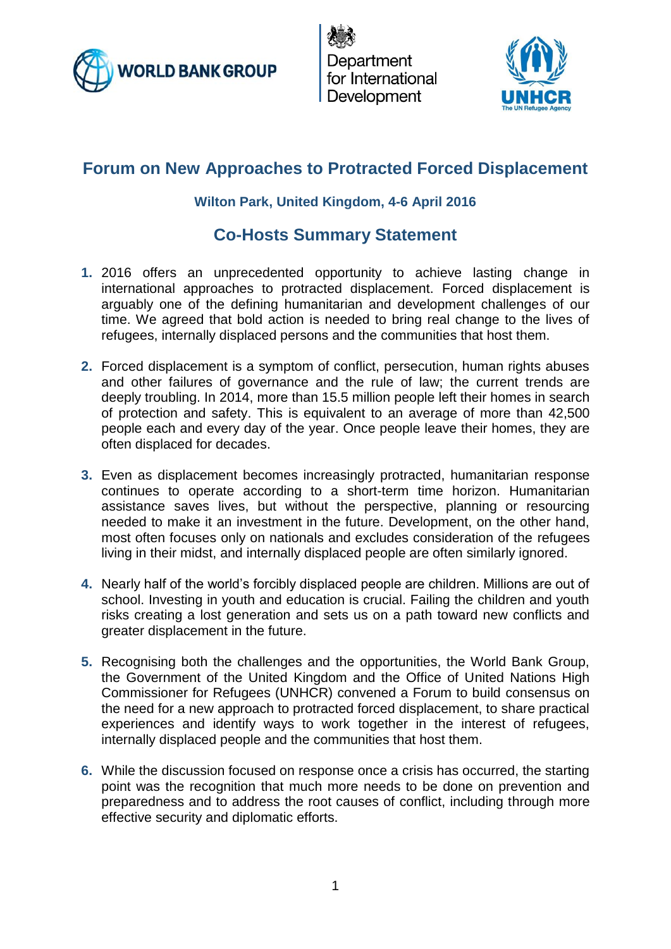

Department for International Development



# **Forum on New Approaches to Protracted Forced Displacement**

#### **Wilton Park, United Kingdom, 4-6 April 2016**

### **Co-Hosts Summary Statement**

- **1.** 2016 offers an unprecedented opportunity to achieve lasting change in international approaches to protracted displacement. Forced displacement is arguably one of the defining humanitarian and development challenges of our time. We agreed that bold action is needed to bring real change to the lives of refugees, internally displaced persons and the communities that host them.
- **2.** Forced displacement is a symptom of conflict, persecution, human rights abuses and other failures of governance and the rule of law; the current trends are deeply troubling. In 2014, more than 15.5 million people left their homes in search of protection and safety. This is equivalent to an average of more than 42,500 people each and every day of the year. Once people leave their homes, they are often displaced for decades.
- **3.** Even as displacement becomes increasingly protracted, humanitarian response continues to operate according to a short-term time horizon. Humanitarian assistance saves lives, but without the perspective, planning or resourcing needed to make it an investment in the future. Development, on the other hand, most often focuses only on nationals and excludes consideration of the refugees living in their midst, and internally displaced people are often similarly ignored.
- **4.** Nearly half of the world's forcibly displaced people are children. Millions are out of school. Investing in youth and education is crucial. Failing the children and youth risks creating a lost generation and sets us on a path toward new conflicts and greater displacement in the future.
- **5.** Recognising both the challenges and the opportunities, the World Bank Group, the Government of the United Kingdom and the Office of United Nations High Commissioner for Refugees (UNHCR) convened a Forum to build consensus on the need for a new approach to protracted forced displacement, to share practical experiences and identify ways to work together in the interest of refugees, internally displaced people and the communities that host them.
- **6.** While the discussion focused on response once a crisis has occurred, the starting point was the recognition that much more needs to be done on prevention and preparedness and to address the root causes of conflict, including through more effective security and diplomatic efforts.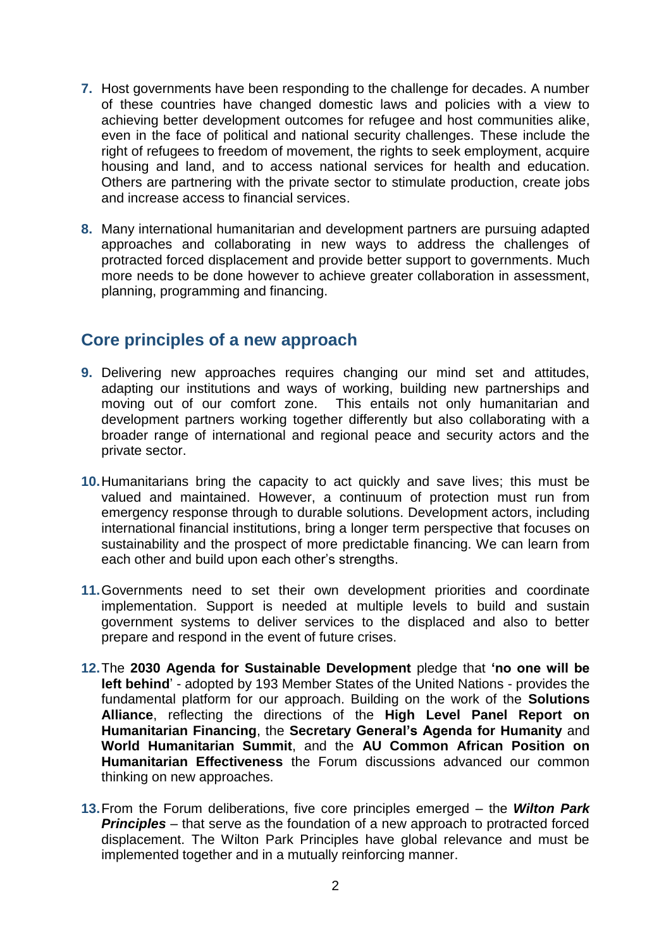- **7.** Host governments have been responding to the challenge for decades. A number of these countries have changed domestic laws and policies with a view to achieving better development outcomes for refugee and host communities alike, even in the face of political and national security challenges. These include the right of refugees to freedom of movement, the rights to seek employment, acquire housing and land, and to access national services for health and education. Others are partnering with the private sector to stimulate production, create jobs and increase access to financial services.
- **8.** Many international humanitarian and development partners are pursuing adapted approaches and collaborating in new ways to address the challenges of protracted forced displacement and provide better support to governments. Much more needs to be done however to achieve greater collaboration in assessment, planning, programming and financing.

#### **Core principles of a new approach**

- **9.** Delivering new approaches requires changing our mind set and attitudes, adapting our institutions and ways of working, building new partnerships and moving out of our comfort zone. This entails not only humanitarian and development partners working together differently but also collaborating with a broader range of international and regional peace and security actors and the private sector.
- **10.**Humanitarians bring the capacity to act quickly and save lives; this must be valued and maintained. However, a continuum of protection must run from emergency response through to durable solutions. Development actors, including international financial institutions, bring a longer term perspective that focuses on sustainability and the prospect of more predictable financing. We can learn from each other and build upon each other's strengths.
- **11.**Governments need to set their own development priorities and coordinate implementation. Support is needed at multiple levels to build and sustain government systems to deliver services to the displaced and also to better prepare and respond in the event of future crises.
- **12.**The **2030 Agenda for Sustainable Development** pledge that **'no one will be left behind**' - adopted by 193 Member States of the United Nations - provides the fundamental platform for our approach. Building on the work of the **Solutions Alliance**, reflecting the directions of the **High Level Panel Report on Humanitarian Financing**, the **Secretary General's Agenda for Humanity** and **World Humanitarian Summit**, and the **AU Common African Position on Humanitarian Effectiveness** the Forum discussions advanced our common thinking on new approaches.
- **13.**From the Forum deliberations, five core principles emerged the *Wilton Park*  **Principles** – that serve as the foundation of a new approach to protracted forced displacement. The Wilton Park Principles have global relevance and must be implemented together and in a mutually reinforcing manner.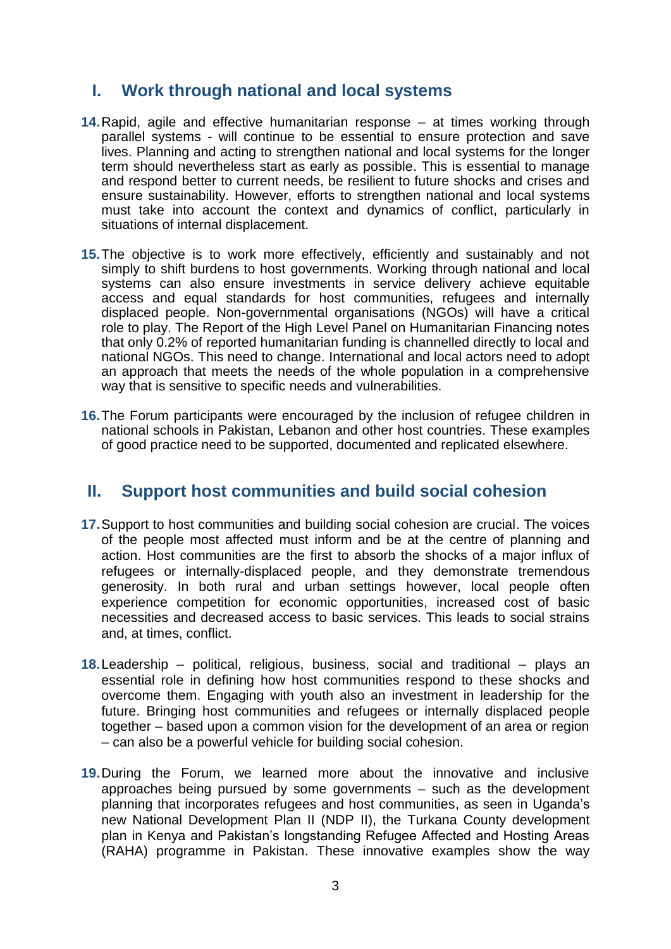### **I. Work through national and local systems**

- **14.**Rapid, agile and effective humanitarian response at times working through parallel systems - will continue to be essential to ensure protection and save lives. Planning and acting to strengthen national and local systems for the longer term should nevertheless start as early as possible. This is essential to manage and respond better to current needs, be resilient to future shocks and crises and ensure sustainability. However, efforts to strengthen national and local systems must take into account the context and dynamics of conflict, particularly in situations of internal displacement.
- **15.**The objective is to work more effectively, efficiently and sustainably and not simply to shift burdens to host governments. Working through national and local systems can also ensure investments in service delivery achieve equitable access and equal standards for host communities, refugees and internally displaced people. Non-governmental organisations (NGOs) will have a critical role to play. The Report of the High Level Panel on Humanitarian Financing notes that only 0.2% of reported humanitarian funding is channelled directly to local and national NGOs. This need to change. International and local actors need to adopt an approach that meets the needs of the whole population in a comprehensive way that is sensitive to specific needs and vulnerabilities.
- **16.**The Forum participants were encouraged by the inclusion of refugee children in national schools in Pakistan, Lebanon and other host countries. These examples of good practice need to be supported, documented and replicated elsewhere.

#### **II. Support host communities and build social cohesion**

- **17.**Support to host communities and building social cohesion are crucial. The voices of the people most affected must inform and be at the centre of planning and action. Host communities are the first to absorb the shocks of a major influx of refugees or internally-displaced people, and they demonstrate tremendous generosity. In both rural and urban settings however, local people often experience competition for economic opportunities, increased cost of basic necessities and decreased access to basic services. This leads to social strains and, at times, conflict.
- **18.**Leadership political, religious, business, social and traditional plays an essential role in defining how host communities respond to these shocks and overcome them. Engaging with youth also an investment in leadership for the future. Bringing host communities and refugees or internally displaced people together – based upon a common vision for the development of an area or region – can also be a powerful vehicle for building social cohesion.
- **19.**During the Forum, we learned more about the innovative and inclusive approaches being pursued by some governments – such as the development planning that incorporates refugees and host communities, as seen in Uganda's new National Development Plan II (NDP II), the Turkana County development plan in Kenya and Pakistan's longstanding Refugee Affected and Hosting Areas (RAHA) programme in Pakistan. These innovative examples show the way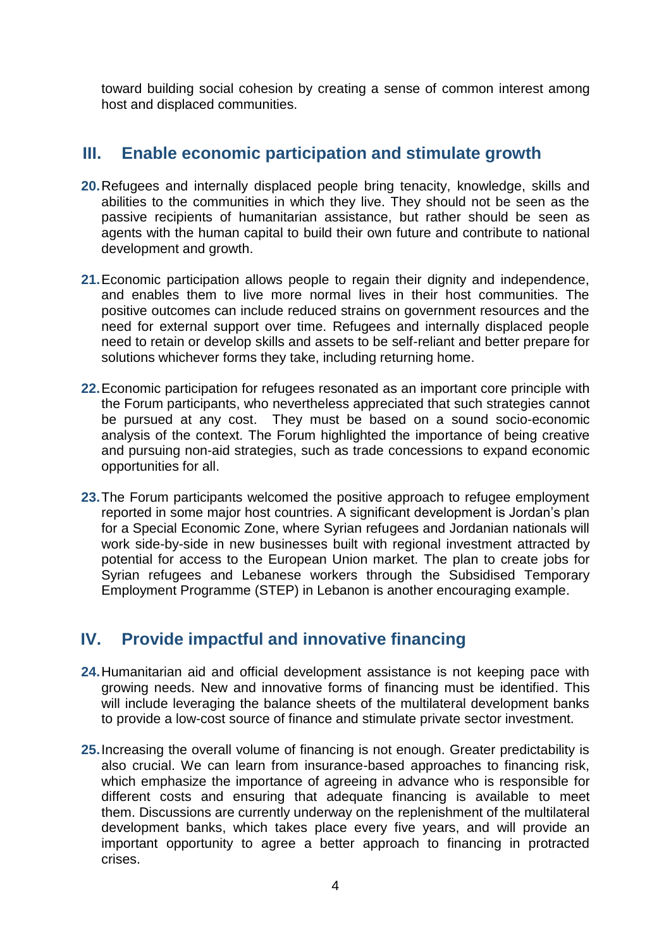toward building social cohesion by creating a sense of common interest among host and displaced communities.

### **III. Enable economic participation and stimulate growth**

- **20.**Refugees and internally displaced people bring tenacity, knowledge, skills and abilities to the communities in which they live. They should not be seen as the passive recipients of humanitarian assistance, but rather should be seen as agents with the human capital to build their own future and contribute to national development and growth.
- **21.**Economic participation allows people to regain their dignity and independence, and enables them to live more normal lives in their host communities. The positive outcomes can include reduced strains on government resources and the need for external support over time. Refugees and internally displaced people need to retain or develop skills and assets to be self-reliant and better prepare for solutions whichever forms they take, including returning home.
- **22.**Economic participation for refugees resonated as an important core principle with the Forum participants, who nevertheless appreciated that such strategies cannot be pursued at any cost. They must be based on a sound socio-economic analysis of the context. The Forum highlighted the importance of being creative and pursuing non-aid strategies, such as trade concessions to expand economic opportunities for all.
- **23.**The Forum participants welcomed the positive approach to refugee employment reported in some major host countries. A significant development is Jordan's plan for a Special Economic Zone, where Syrian refugees and Jordanian nationals will work side-by-side in new businesses built with regional investment attracted by potential for access to the European Union market. The plan to create jobs for Syrian refugees and Lebanese workers through the Subsidised Temporary Employment Programme (STEP) in Lebanon is another encouraging example.

## **IV. Provide impactful and innovative financing**

- **24.**Humanitarian aid and official development assistance is not keeping pace with growing needs. New and innovative forms of financing must be identified. This will include leveraging the balance sheets of the multilateral development banks to provide a low-cost source of finance and stimulate private sector investment.
- **25.**Increasing the overall volume of financing is not enough. Greater predictability is also crucial. We can learn from insurance-based approaches to financing risk, which emphasize the importance of agreeing in advance who is responsible for different costs and ensuring that adequate financing is available to meet them. Discussions are currently underway on the replenishment of the multilateral development banks, which takes place every five years, and will provide an important opportunity to agree a better approach to financing in protracted crises.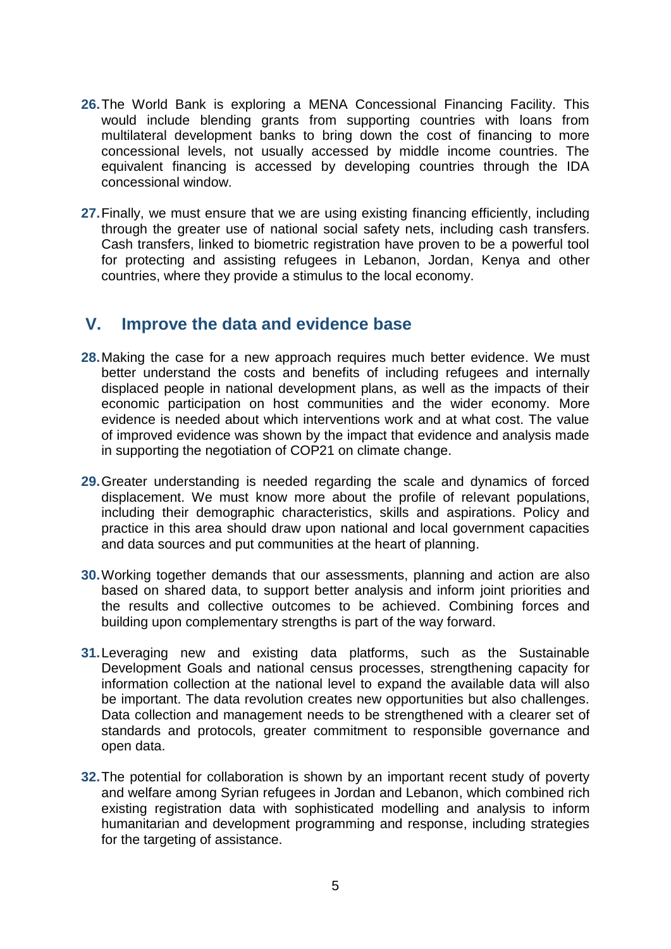- **26.**The World Bank is exploring a MENA Concessional Financing Facility. This would include blending grants from supporting countries with loans from multilateral development banks to bring down the cost of financing to more concessional levels, not usually accessed by middle income countries. The equivalent financing is accessed by developing countries through the IDA concessional window.
- **27.**Finally, we must ensure that we are using existing financing efficiently, including through the greater use of national social safety nets, including cash transfers. Cash transfers, linked to biometric registration have proven to be a powerful tool for protecting and assisting refugees in Lebanon, Jordan, Kenya and other countries, where they provide a stimulus to the local economy.

#### **V. Improve the data and evidence base**

- **28.**Making the case for a new approach requires much better evidence. We must better understand the costs and benefits of including refugees and internally displaced people in national development plans, as well as the impacts of their economic participation on host communities and the wider economy. More evidence is needed about which interventions work and at what cost. The value of improved evidence was shown by the impact that evidence and analysis made in supporting the negotiation of COP21 on climate change.
- **29.**Greater understanding is needed regarding the scale and dynamics of forced displacement. We must know more about the profile of relevant populations, including their demographic characteristics, skills and aspirations. Policy and practice in this area should draw upon national and local government capacities and data sources and put communities at the heart of planning.
- **30.**Working together demands that our assessments, planning and action are also based on shared data, to support better analysis and inform joint priorities and the results and collective outcomes to be achieved. Combining forces and building upon complementary strengths is part of the way forward.
- **31.**Leveraging new and existing data platforms, such as the Sustainable Development Goals and national census processes, strengthening capacity for information collection at the national level to expand the available data will also be important. The data revolution creates new opportunities but also challenges. Data collection and management needs to be strengthened with a clearer set of standards and protocols, greater commitment to responsible governance and open data.
- **32.**The potential for collaboration is shown by an important recent study of poverty and welfare among Syrian refugees in Jordan and Lebanon, which combined rich existing registration data with sophisticated modelling and analysis to inform humanitarian and development programming and response, including strategies for the targeting of assistance.